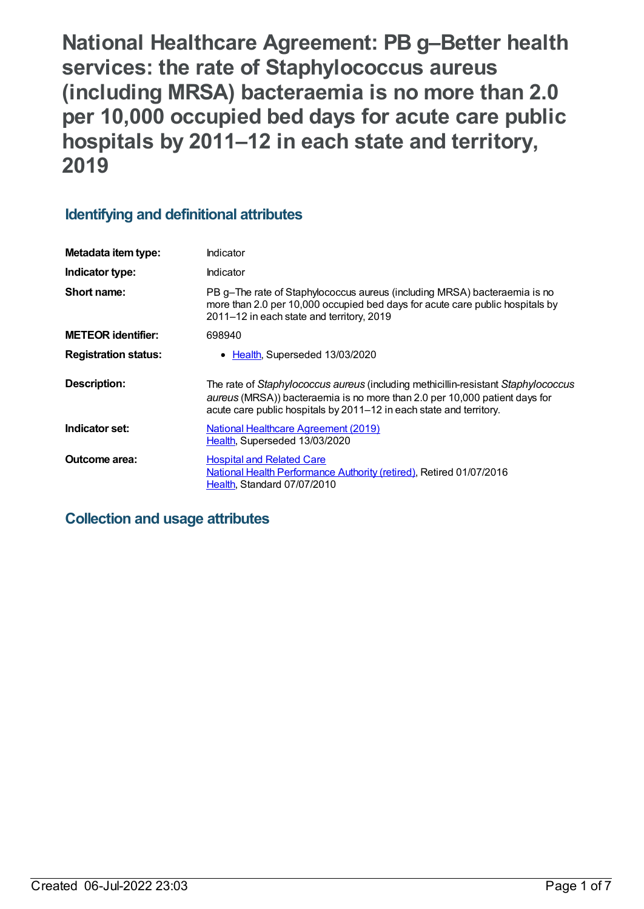**National Healthcare Agreement: PB g–Better health services: the rate of Staphylococcus aureus (including MRSA) bacteraemia is no more than 2.0 per 10,000 occupied bed days for acute care public hospitals by 2011–12 in each state and territory, 2019**

# **Identifying and definitional attributes**

| Metadata item type:         | Indicator                                                                                                                                                                                                                              |
|-----------------------------|----------------------------------------------------------------------------------------------------------------------------------------------------------------------------------------------------------------------------------------|
| Indicator type:             | Indicator                                                                                                                                                                                                                              |
| Short name:                 | PB g-The rate of Staphylococcus aureus (including MRSA) bacteraemia is no<br>more than 2.0 per 10,000 occupied bed days for acute care public hospitals by<br>2011-12 in each state and territory, 2019                                |
| <b>METEOR</b> identifier:   | 698940                                                                                                                                                                                                                                 |
| <b>Registration status:</b> | Health, Superseded 13/03/2020                                                                                                                                                                                                          |
| Description:                | The rate of Staphylococcus aureus (including methicillin-resistant Staphylococcus<br>aureus (MRSA)) bacteraemia is no more than 2.0 per 10,000 patient days for<br>acute care public hospitals by 2011–12 in each state and territory. |
| Indicator set:              | <b>National Healthcare Agreement (2019)</b><br>Health, Superseded 13/03/2020                                                                                                                                                           |
| Outcome area:               | <b>Hospital and Related Care</b><br>National Health Performance Authority (retired), Retired 01/07/2016<br>Health, Standard 07/07/2010                                                                                                 |

## **Collection and usage attributes**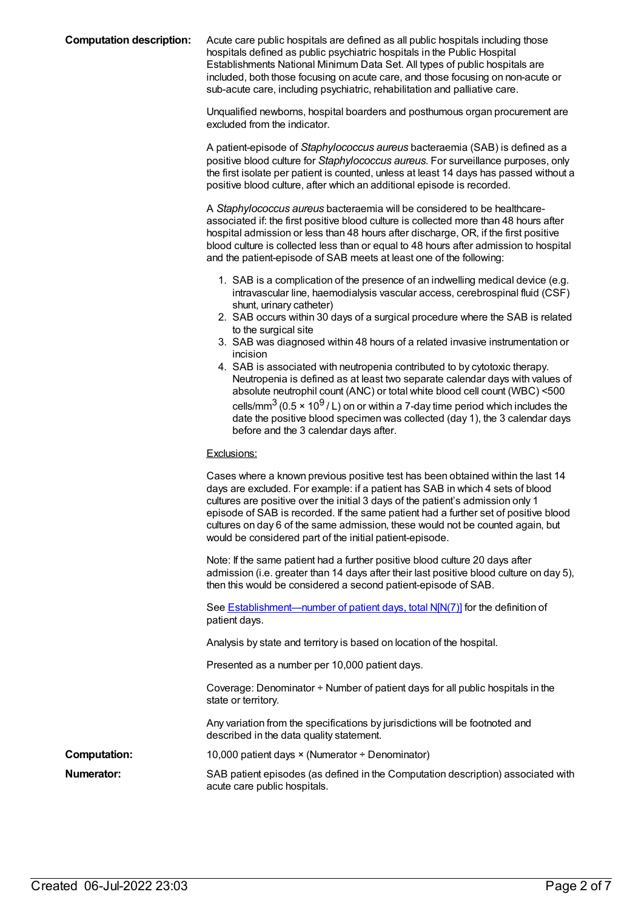**Computation description:** Acute care public hospitals are defined as all public hospitals including those hospitals defined as public psychiatric hospitals in the Public Hospital Establishments National Minimum Data Set. All types of public hospitals are included, both those focusing on acute care, and those focusing on non-acute or sub-acute care, including psychiatric, rehabilitation and palliative care.

> Unqualified newborns, hospital boarders and posthumous organ procurement are excluded from the indicator.

A patient-episode of *Staphylococcus aureus* bacteraemia (SAB) is defined as a positive blood culture for *Staphylococcus aureus*. For surveillance purposes, only the first isolate per patient is counted, unless at least 14 days has passed without a positive blood culture, after which an additional episode is recorded.

A *Staphylococcus aureus* bacteraemia will be considered to be healthcareassociated if: the first positive blood culture is collected more than 48 hours after hospital admission or less than 48 hours after discharge, OR, if the first positive blood culture is collected less than or equal to 48 hours after admission to hospital and the patient-episode of SAB meets at least one of the following:

- 1. SAB is a complication of the presence of an indwelling medical device (e.g. intravascular line, haemodialysis vascular access, cerebrospinal fluid (CSF) shunt, urinary catheter)
- 2. SAB occurs within 30 days of a surgical procedure where the SAB is related to the surgical site
- 3. SAB was diagnosed within 48 hours of a related invasive instrumentation or incision
- 4. SAB is associated with neutropenia contributed to by cytotoxic therapy. Neutropenia is defined as at least two separate calendar days with values of absolute neutrophil count (ANC) or total white blood cell count (WBC) <500 cells/mm $^3$  (0.5 × 10 $^9$  / L) on or within a 7-day time period which includes the date the positive blood specimen was collected (day 1), the 3 calendar days before and the 3 calendar days after.

#### Exclusions:

|                     | Cases where a known previous positive test has been obtained within the last 14<br>days are excluded. For example: if a patient has SAB in which 4 sets of blood<br>cultures are positive over the initial 3 days of the patient's admission only 1<br>episode of SAB is recorded. If the same patient had a further set of positive blood<br>cultures on day 6 of the same admission, these would not be counted again, but<br>would be considered part of the initial patient-episode. |
|---------------------|------------------------------------------------------------------------------------------------------------------------------------------------------------------------------------------------------------------------------------------------------------------------------------------------------------------------------------------------------------------------------------------------------------------------------------------------------------------------------------------|
|                     | Note: If the same patient had a further positive blood culture 20 days after<br>admission (i.e. greater than 14 days after their last positive blood culture on day 5),<br>then this would be considered a second patient-episode of SAB.                                                                                                                                                                                                                                                |
|                     | See <b>Establishment—number of patient days, total N[N(7)]</b> for the definition of<br>patient days.                                                                                                                                                                                                                                                                                                                                                                                    |
|                     | Analysis by state and territory is based on location of the hospital.                                                                                                                                                                                                                                                                                                                                                                                                                    |
|                     | Presented as a number per 10,000 patient days.                                                                                                                                                                                                                                                                                                                                                                                                                                           |
|                     | Coverage: Denominator $\div$ Number of patient days for all public hospitals in the<br>state or territory.                                                                                                                                                                                                                                                                                                                                                                               |
|                     | Any variation from the specifications by jurisdictions will be footnoted and<br>described in the data quality statement.                                                                                                                                                                                                                                                                                                                                                                 |
| <b>Computation:</b> | 10,000 patient days $\times$ (Numerator $\div$ Denominator)                                                                                                                                                                                                                                                                                                                                                                                                                              |
| Numerator:          | SAB patient episodes (as defined in the Computation description) associated with<br>acute care public hospitals.                                                                                                                                                                                                                                                                                                                                                                         |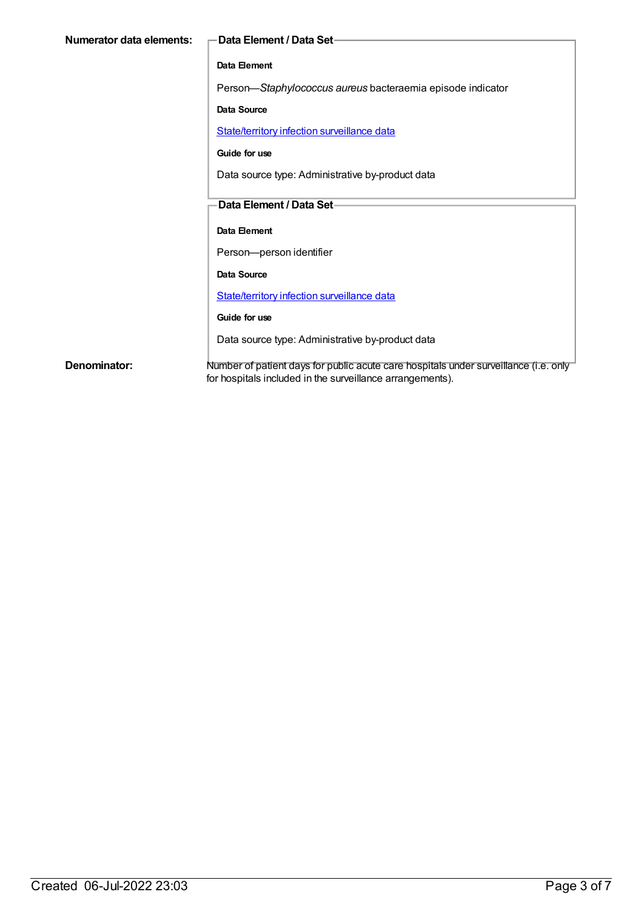| Numerator data elements: | -Data Element / Data Set-                                                                                                                         |
|--------------------------|---------------------------------------------------------------------------------------------------------------------------------------------------|
|                          | Data Element                                                                                                                                      |
|                          | Person-Staphylococcus aureus bacteraemia episode indicator                                                                                        |
|                          | <b>Data Source</b>                                                                                                                                |
|                          | State/territory infection surveillance data                                                                                                       |
|                          | Guide for use                                                                                                                                     |
|                          | Data source type: Administrative by-product data                                                                                                  |
|                          | Data Element / Data Set-                                                                                                                          |
|                          |                                                                                                                                                   |
|                          | Data Element                                                                                                                                      |
|                          | Person-person identifier                                                                                                                          |
|                          | Data Source                                                                                                                                       |
|                          | State/territory infection surveillance data                                                                                                       |
|                          | Guide for use                                                                                                                                     |
|                          | Data source type: Administrative by-product data                                                                                                  |
| Denominator:             | Number of patient days for public acute care hospitals under surveillance (i.e. only<br>for hospitals included in the surveillance arrangements). |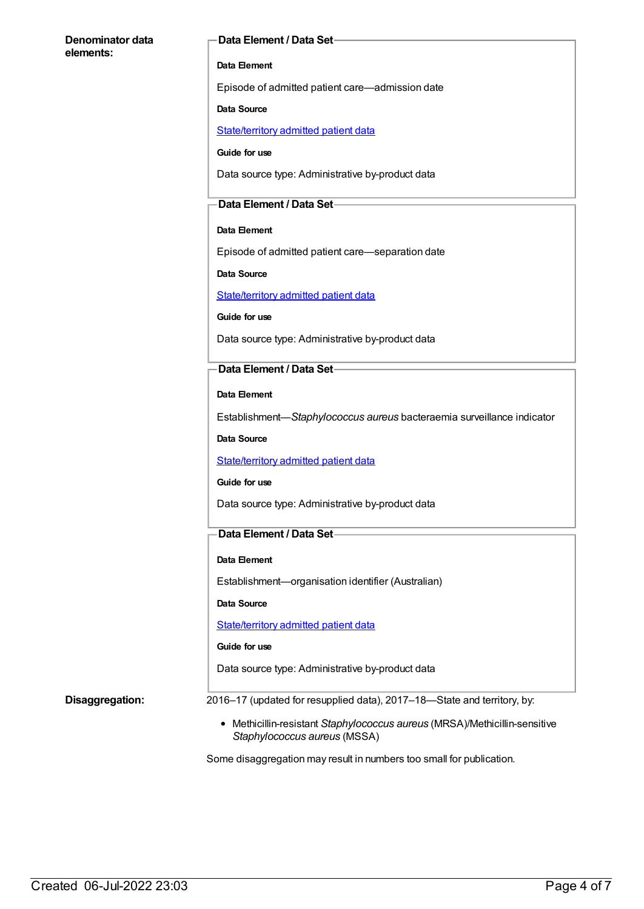#### **Denominator data elements:**

#### **Data Element / Data Set**

### **Data Element**

Episode of admitted patient care—admission date

#### **Data Source**

[State/territory](https://meteor.aihw.gov.au/content/426458) admitted patient data

**Guide for use**

Data source type: Administrative by-product data

### **Data Element / Data Set**

#### **Data Element**

Episode of admitted patient care—separation date

**Data Source**

[State/territory](https://meteor.aihw.gov.au/content/426458) admitted patient data

**Guide for use**

Data source type: Administrative by-product data

### **Data Element / Data Set**

**Data Element**

Establishment—*Staphylococcus aureus* bacteraemia surveillance indicator

**Data Source**

[State/territory](https://meteor.aihw.gov.au/content/426458) admitted patient data

#### **Guide for use**

Data source type: Administrative by-product data

### **Data Element / Data Set**

#### **Data Element**

Establishment—organisation identifier (Australian)

**Data Source**

[State/territory](https://meteor.aihw.gov.au/content/426458) admitted patient data

#### **Guide for use**

Data source type: Administrative by-product data

**Disaggregation:** 2016–17 (updated for resupplied data), 2017–18—State and territory, by:

Methicillin-resistant *Staphylococcus aureus* (MRSA)/Methicillin-sensitive *Staphylococcus aureus* (MSSA)

Some disaggregation may result in numbers too small for publication.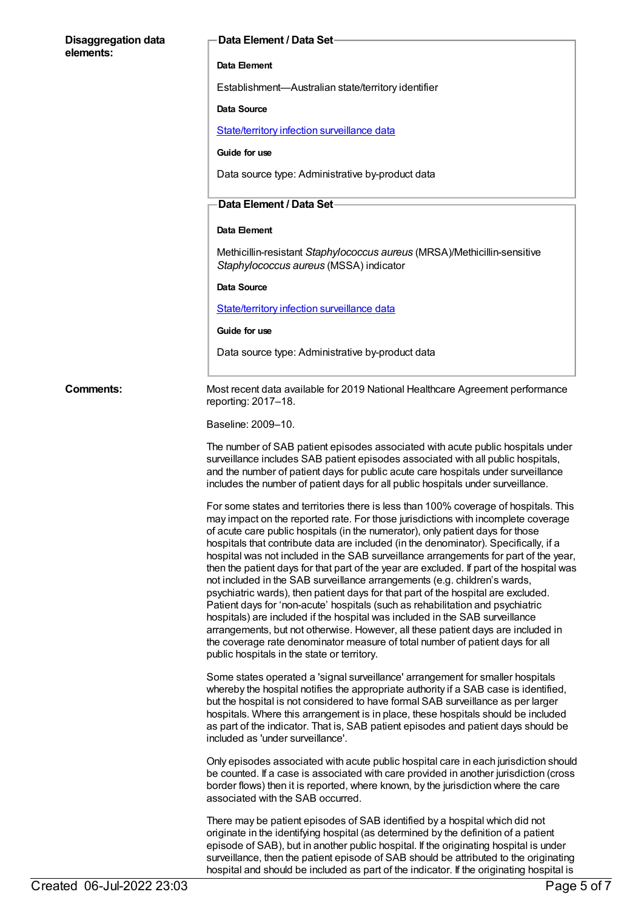#### **Disaggregation data elements:**

#### **Data Element / Data Set**

#### **Data Element**

Establishment—Australian state/territory identifier

#### **Data Source**

[State/territory](https://meteor.aihw.gov.au/content/402699) infection surveillance data

#### **Guide for use**

Data source type: Administrative by-product data

### **Data Element / Data Set**

#### **Data Element**

Methicillin-resistant *Staphylococcus aureus* (MRSA)/Methicillin-sensitive *Staphylococcus aureus* (MSSA) indicator

#### **Data Source**

[State/territory](https://meteor.aihw.gov.au/content/402699) infection surveillance data

#### **Guide for use**

Data source type: Administrative by-product data

**Comments:** Most recent data available for 2019 National Healthcare Agreement performance reporting: 2017–18.

#### Baseline: 2009–10.

The number of SAB patient episodes associated with acute public hospitals under surveillance includes SAB patient episodes associated with all public hospitals, and the number of patient days for public acute care hospitals under surveillance includes the number of patient days for all public hospitals under surveillance.

For some states and territories there is less than 100% coverage of hospitals. This may impact on the reported rate. For those jurisdictions with incomplete coverage of acute care public hospitals (in the numerator), only patient days for those hospitals that contribute data are included (in the denominator). Specifically, if a hospital was not included in the SAB surveillance arrangements for part of the year, then the patient days for that part of the year are excluded. If part of the hospital was not included in the SAB surveillance arrangements (e.g. children's wards, psychiatric wards), then patient days for that part of the hospital are excluded. Patient days for 'non-acute' hospitals (such as rehabilitation and psychiatric hospitals) are included if the hospital was included in the SAB surveillance arrangements, but not otherwise. However, all these patient days are included in the coverage rate denominator measure of total number of patient days for all public hospitals in the state or territory.

Some states operated a 'signal surveillance' arrangement for smaller hospitals whereby the hospital notifies the appropriate authority if a SAB case is identified, but the hospital is not considered to have formal SAB surveillance as per larger hospitals. Where this arrangement is in place, these hospitals should be included as part of the indicator. That is, SAB patient episodes and patient days should be included as 'under surveillance'.

Only episodes associated with acute public hospital care in each jurisdiction should be counted. If a case is associated with care provided in another jurisdiction (cross border flows) then it is reported, where known, by the jurisdiction where the care associated with the SAB occurred.

There may be patient episodes of SAB identified by a hospital which did not originate in the identifying hospital (as determined by the definition of a patient episode of SAB), but in another public hospital. If the originating hospital is under surveillance, then the patient episode of SAB should be attributed to the originating hospital and should be included as part of the indicator. If the originating hospital is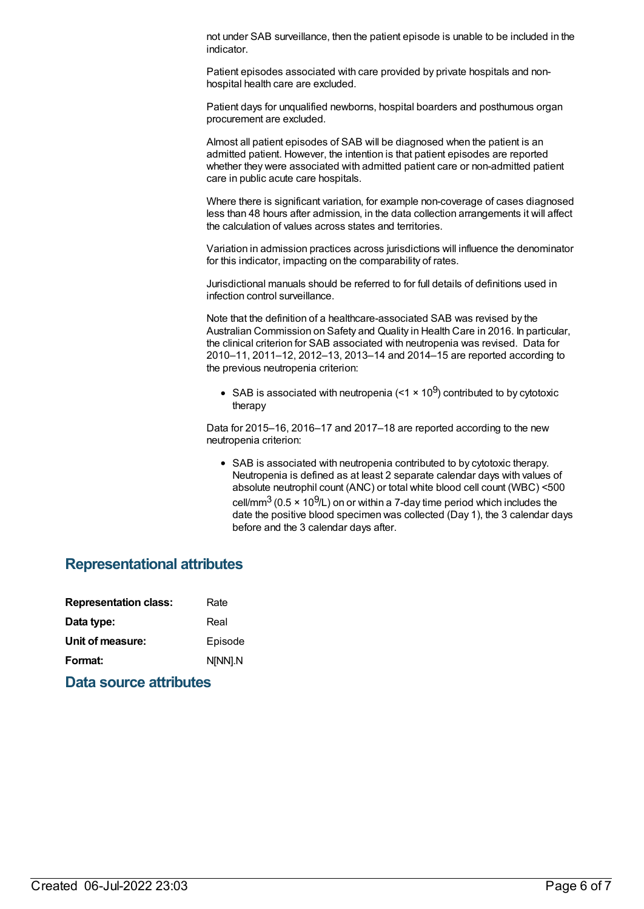not under SAB surveillance, then the patient episode is unable to be included in the indicator.

Patient episodes associated with care provided by private hospitals and nonhospital health care are excluded.

Patient days for unqualified newborns, hospital boarders and posthumous organ procurement are excluded.

Almost all patient episodes of SAB will be diagnosed when the patient is an admitted patient. However, the intention is that patient episodes are reported whether they were associated with admitted patient care or non-admitted patient care in public acute care hospitals.

Where there is significant variation, for example non-coverage of cases diagnosed less than 48 hours after admission, in the data collection arrangements it will affect the calculation of values across states and territories.

Variation in admission practices across jurisdictions will influence the denominator for this indicator, impacting on the comparability of rates.

Jurisdictional manuals should be referred to for full details of definitions used in infection control surveillance.

Note that the definition of a healthcare-associated SAB was revised by the Australian Commission on Safety and Quality in Health Care in 2016. In particular, the clinical criterion for SAB associated with neutropenia was revised. Data for 2010–11, 2011–12, 2012–13, 2013–14 and 2014–15 are reported according to the previous neutropenia criterion:

SAB is associated with neutropenia (<1  $\times$  10<sup>9</sup>) contributed to by cytotoxic therapy

Data for 2015–16, 2016–17 and 2017–18 are reported according to the new neutropenia criterion:

SAB is associated with neutropenia contributed to by cytotoxic therapy. Neutropenia is defined as at least 2 separate calendar days with values of absolute neutrophil count (ANC) or total white blood cell count (WBC) <500 cell/mm $^3$  (0.5 × 10 $^9$ /L) on or within a 7-day time period which includes the date the positive blood specimen was collected (Day 1), the 3 calendar days before and the 3 calendar days after.

## **Representational attributes**

| <b>Representation class:</b> |  | Rate    |
|------------------------------|--|---------|
| Data type:                   |  | Real    |
| Unit of measure:             |  | Episode |
| Format:                      |  | N[NN].N |
|                              |  |         |

**Data source attributes**